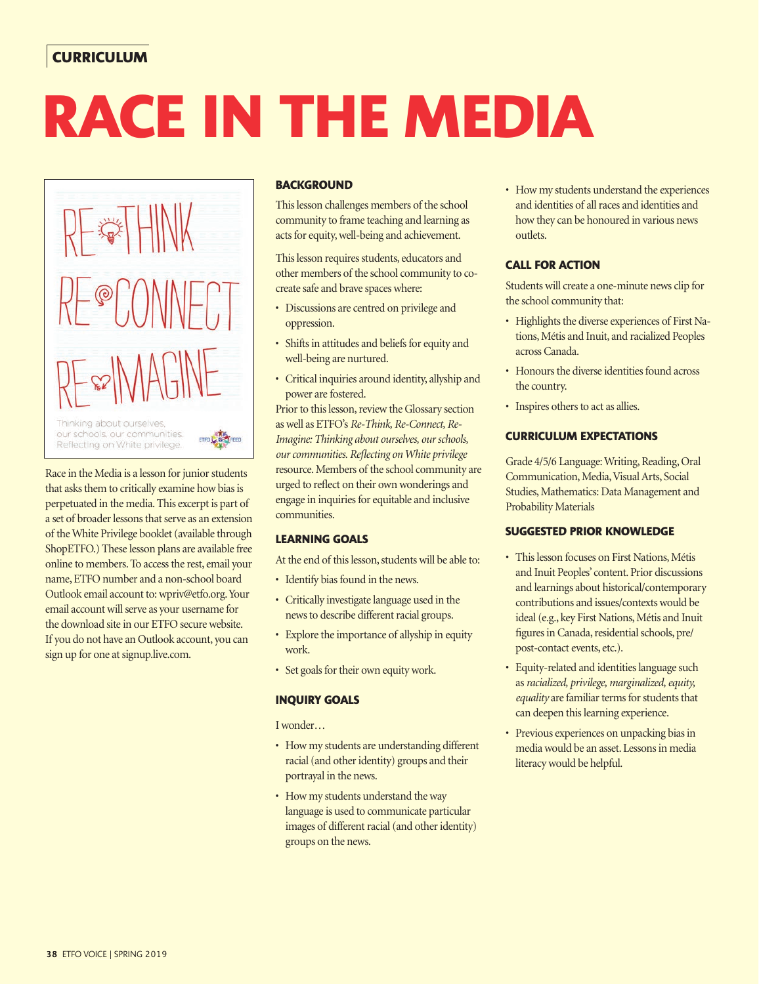# **CURRICULUM**

# **RACE IN THE MEDIA**



Race in the Media is a lesson for junior students that asks them to critically examine how bias is perpetuated in the media. This excerpt is part of a set of broader lessons that serve as an extension of the White Privilege booklet (available through ShopETFO.) These lesson plans are available free online to members. To access the rest, email your name, ETFO number and a non-school board Outlook email account to: wpriv@etfo.org. Your email account will serve as your username for the download site in our ETFO secure website. If you do not have an Outlook account, you can sign up for one at signup.live.com.

## **BACKGROUND**

This lesson challenges members of the school community to frame teaching and learning as acts for equity, well-being and achievement.

This lesson requires students, educators and other members of the school community to cocreate safe and brave spaces where:

- Discussions are centred on privilege and oppression.
- Shifts in attitudes and beliefs for equity and well-being are nurtured.
- Critical inquiries around identity, allyship and power are fostered.

Prior to this lesson, review the Glossary section as well as ETFO's *Re-Think, Re-Connect, Re-Imagine: Thinking about ourselves, our schools, our communities. Refl ecting on White privilege* resource. Members of the school community are urged to reflect on their own wonderings and engage in inquiries for equitable and inclusive communities.

## **LEARNING GOALS**

At the end of this lesson, students will be able to:

- Identify bias found in the news.
- Critically investigate language used in the news to describe different racial groups.
- Explore the importance of allyship in equity work.
- Set goals for their own equity work.

#### **INQUIRY GOALS**

I wonder…

- How my students are understanding different racial (and other identity) groups and their portrayal in the news.
- How my students understand the way language is used to communicate particular images of different racial (and other identity) groups on the news.

• How my students understand the experiences and identities of all races and identities and how they can be honoured in various news outlets.

## **CALL FOR ACTION**

Students will create a one-minute news clip for the school community that:

- Highlights the diverse experiences of First Nations, Métis and Inuit, and racialized Peoples across Canada.
- Honours the diverse identities found across the country.
- Inspires others to act as allies.

#### **CURRICULUM EXPECTATIONS**

Grade 4/5/6 Language: Writing, Reading, Oral Communication, Media, Visual Arts, Social Studies, Mathematics: Data Management and Probability Materials

#### **SUGGESTED PRIOR KNOWLEDGE**

- This lesson focuses on First Nations, Métis and Inuit Peoples' content. Prior discussions and learnings about historical/contemporary contributions and issues/contexts would be ideal (e.g., key First Nations, Métis and Inuit figures in Canada, residential schools, pre/ post-contact events, etc.).
- Equity-related and identities language such as *racialized, privilege, marginalized, equity, equality* are familiar terms for students that can deepen this learning experience.
- Previous experiences on unpacking bias in media would be an asset. Lessons in media literacy would be helpful.